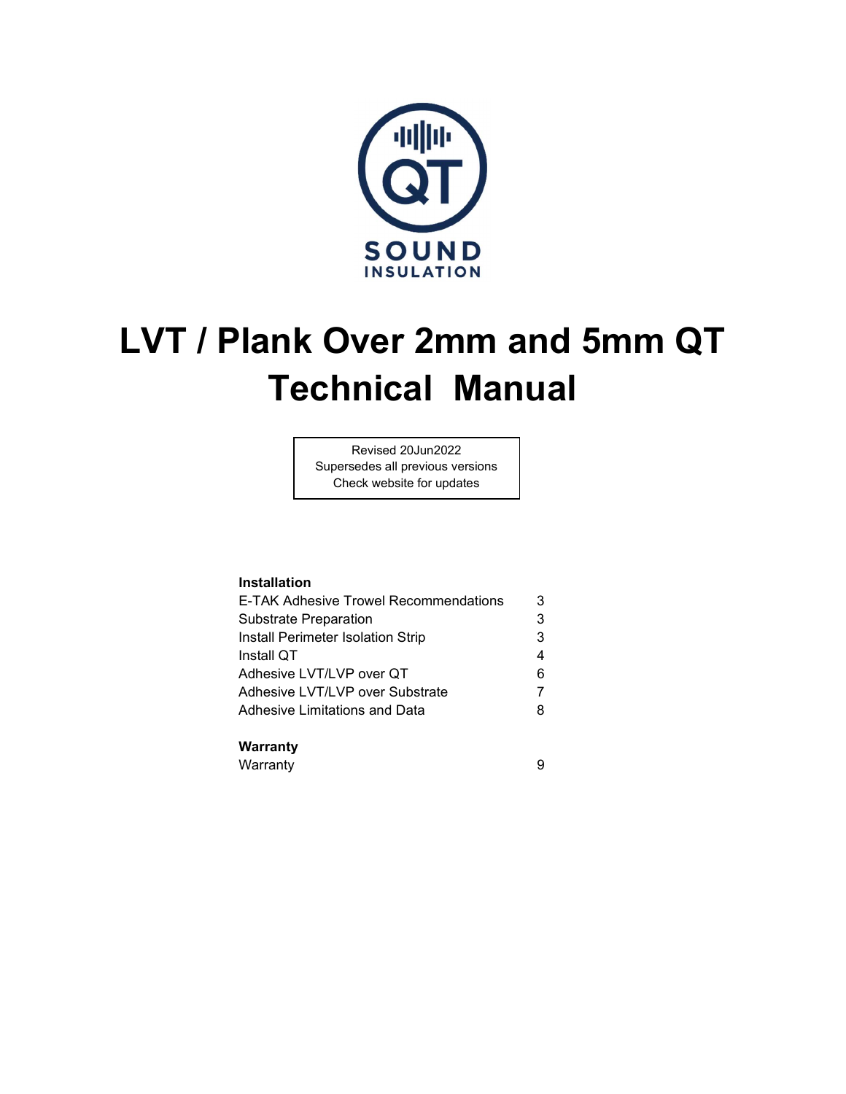

# LVT / Plank Over 2mm and 5mm QT Technical Manual

Revised 20Jun2022 Supersedes all previous versions Check website for updates

#### Installation

| E-TAK Adhesive Trowel Recommendations | 3 |
|---------------------------------------|---|
| <b>Substrate Preparation</b>          |   |
| Install Perimeter Isolation Strip     |   |
| Install QT                            |   |
| Adhesive LVT/LVP over QT              | 6 |
| Adhesive LVT/LVP over Substrate       |   |
| Adhesive Limitations and Data         |   |

#### Warranty

Warranty 9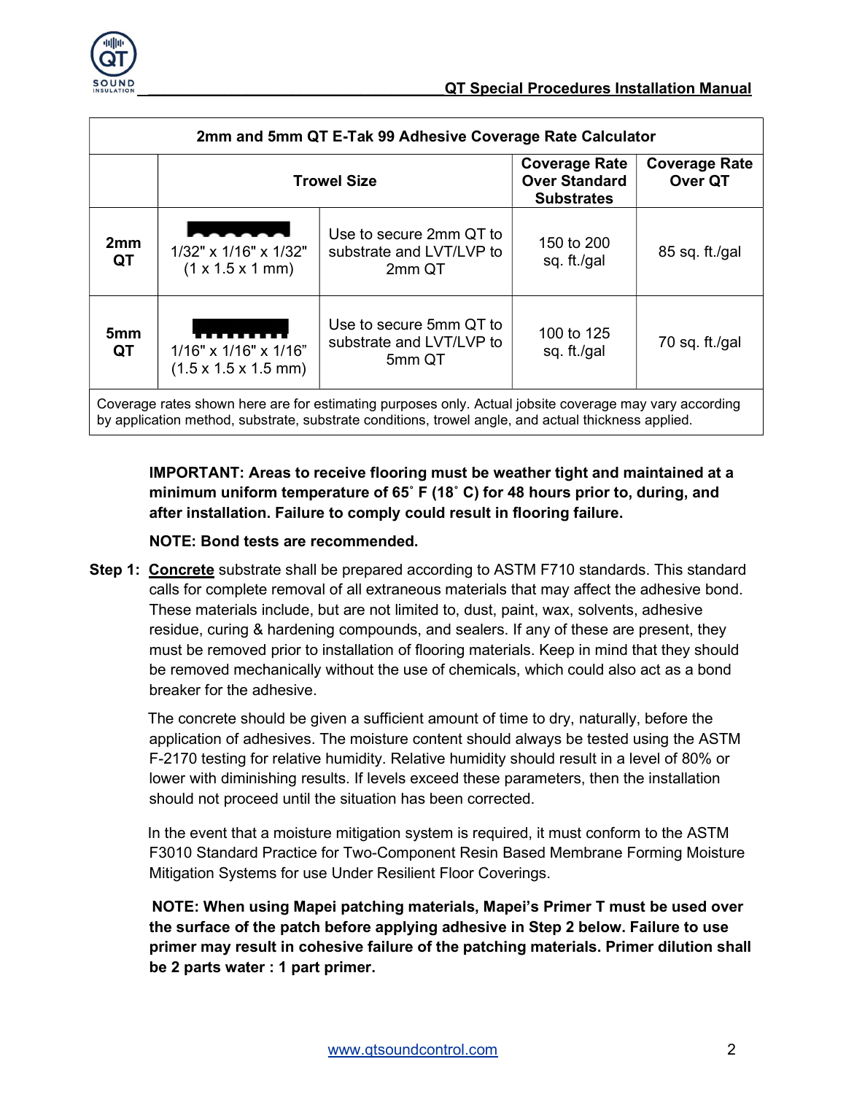

| 2mm and 5mm QT E-Tak 99 Adhesive Coverage Rate Calculator                                                                                                                                                     |                                                                                                             |                                                               |                                                                   |                                 |
|---------------------------------------------------------------------------------------------------------------------------------------------------------------------------------------------------------------|-------------------------------------------------------------------------------------------------------------|---------------------------------------------------------------|-------------------------------------------------------------------|---------------------------------|
|                                                                                                                                                                                                               | <b>Trowel Size</b>                                                                                          |                                                               | <b>Coverage Rate</b><br><b>Over Standard</b><br><b>Substrates</b> | <b>Coverage Rate</b><br>Over QT |
| 2mm<br>QT                                                                                                                                                                                                     | <u> Linda a Carl III a chuid ann an t-</u><br>1/32" x 1/16" x 1/32"<br>$(1 \times 1.5 \times 1 \text{ mm})$ | Use to secure 2mm QT to<br>substrate and LVT/LVP to<br>2mm QT | 150 to 200<br>sq. ft./gal                                         | $85$ sq. ft./gal                |
| 5mm<br>QT                                                                                                                                                                                                     | 1/16" x 1/16" x 1/16"<br>$(1.5 \times 1.5 \times 1.5 \text{ mm})$                                           | Use to secure 5mm QT to<br>substrate and LVT/LVP to<br>5mm QT | 100 to 125<br>sq. ft./gal                                         | 70 sq. ft./gal                  |
| Coverage rates shown here are for estimating purposes only. Actual jobsite coverage may vary according<br>by application method, substrate, substrate conditions, trowel angle, and actual thickness applied. |                                                                                                             |                                                               |                                                                   |                                 |

IMPORTANT: Areas to receive flooring must be weather tight and maintained at a minimum uniform temperature of 65˚ F (18˚ C) for 48 hours prior to, during, and after installation. Failure to comply could result in flooring failure.

#### NOTE: Bond tests are recommended.

Step 1: Concrete substrate shall be prepared according to ASTM F710 standards. This standard calls for complete removal of all extraneous materials that may affect the adhesive bond. These materials include, but are not limited to, dust, paint, wax, solvents, adhesive residue, curing & hardening compounds, and sealers. If any of these are present, they must be removed prior to installation of flooring materials. Keep in mind that they should be removed mechanically without the use of chemicals, which could also act as a bond breaker for the adhesive.

 The concrete should be given a sufficient amount of time to dry, naturally, before the application of adhesives. The moisture content should always be tested using the ASTM F-2170 testing for relative humidity. Relative humidity should result in a level of 80% or lower with diminishing results. If levels exceed these parameters, then the installation should not proceed until the situation has been corrected.

 In the event that a moisture mitigation system is required, it must conform to the ASTM F3010 Standard Practice for Two-Component Resin Based Membrane Forming Moisture Mitigation Systems for use Under Resilient Floor Coverings.

 NOTE: When using Mapei patching materials, Mapei's Primer T must be used over the surface of the patch before applying adhesive in Step 2 below. Failure to use primer may result in cohesive failure of the patching materials. Primer dilution shall be 2 parts water : 1 part primer.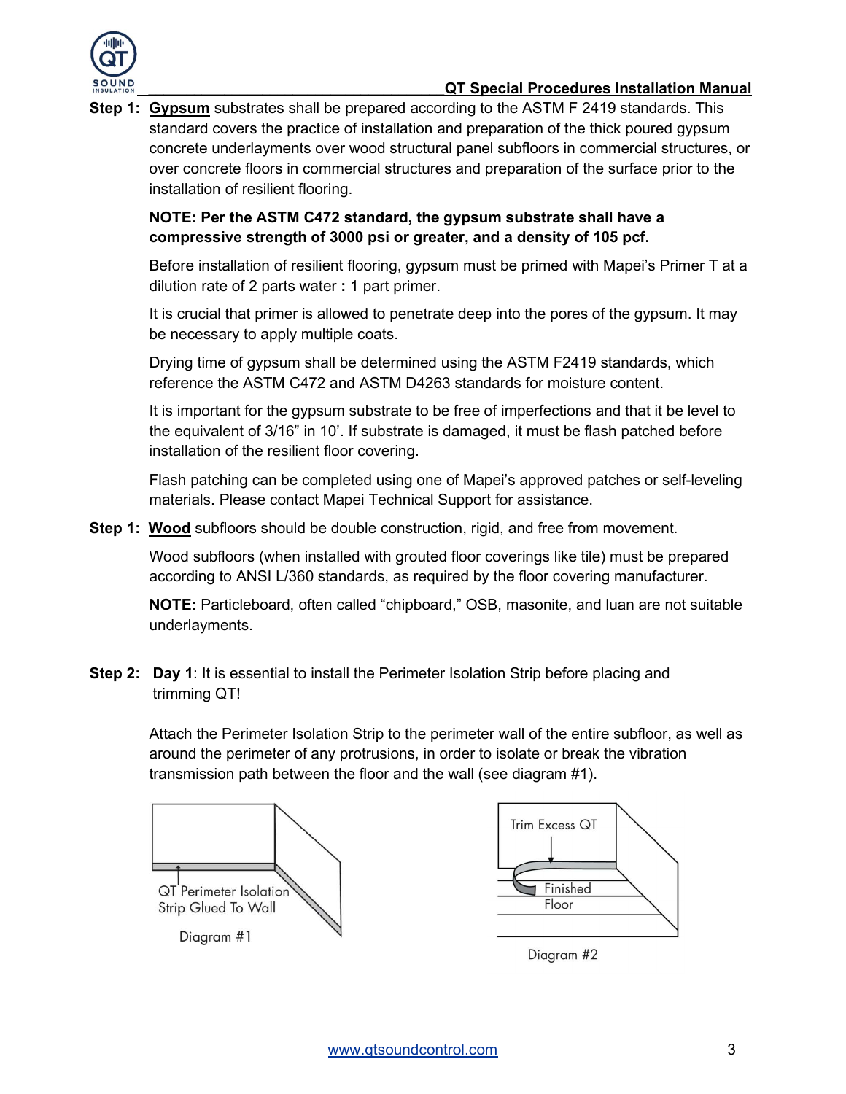

### QT Special Procedures Installation Manual

Step 1: Gypsum substrates shall be prepared according to the ASTM F 2419 standards. This standard covers the practice of installation and preparation of the thick poured gypsum concrete underlayments over wood structural panel subfloors in commercial structures, or over concrete floors in commercial structures and preparation of the surface prior to the installation of resilient flooring.

### NOTE: Per the ASTM C472 standard, the gypsum substrate shall have a compressive strength of 3000 psi or greater, and a density of 105 pcf.

Before installation of resilient flooring, gypsum must be primed with Mapei's Primer T at a dilution rate of 2 parts water : 1 part primer.

It is crucial that primer is allowed to penetrate deep into the pores of the gypsum. It may be necessary to apply multiple coats.

Drying time of gypsum shall be determined using the ASTM F2419 standards, which reference the ASTM C472 and ASTM D4263 standards for moisture content.

It is important for the gypsum substrate to be free of imperfections and that it be level to the equivalent of 3/16" in 10'. If substrate is damaged, it must be flash patched before installation of the resilient floor covering.

Flash patching can be completed using one of Mapei's approved patches or self-leveling materials. Please contact Mapei Technical Support for assistance.

**Step 1: Wood** subfloors should be double construction, rigid, and free from movement.

Wood subfloors (when installed with grouted floor coverings like tile) must be prepared according to ANSI L/360 standards, as required by the floor covering manufacturer.

NOTE: Particleboard, often called "chipboard," OSB, masonite, and luan are not suitable underlayments.

**Step 2:** Day 1: It is essential to install the Perimeter Isolation Strip before placing and trimming QT!

> Attach the Perimeter Isolation Strip to the perimeter wall of the entire subfloor, as well as around the perimeter of any protrusions, in order to isolate or break the vibration transmission path between the floor and the wall (see diagram #1).





Diagram #2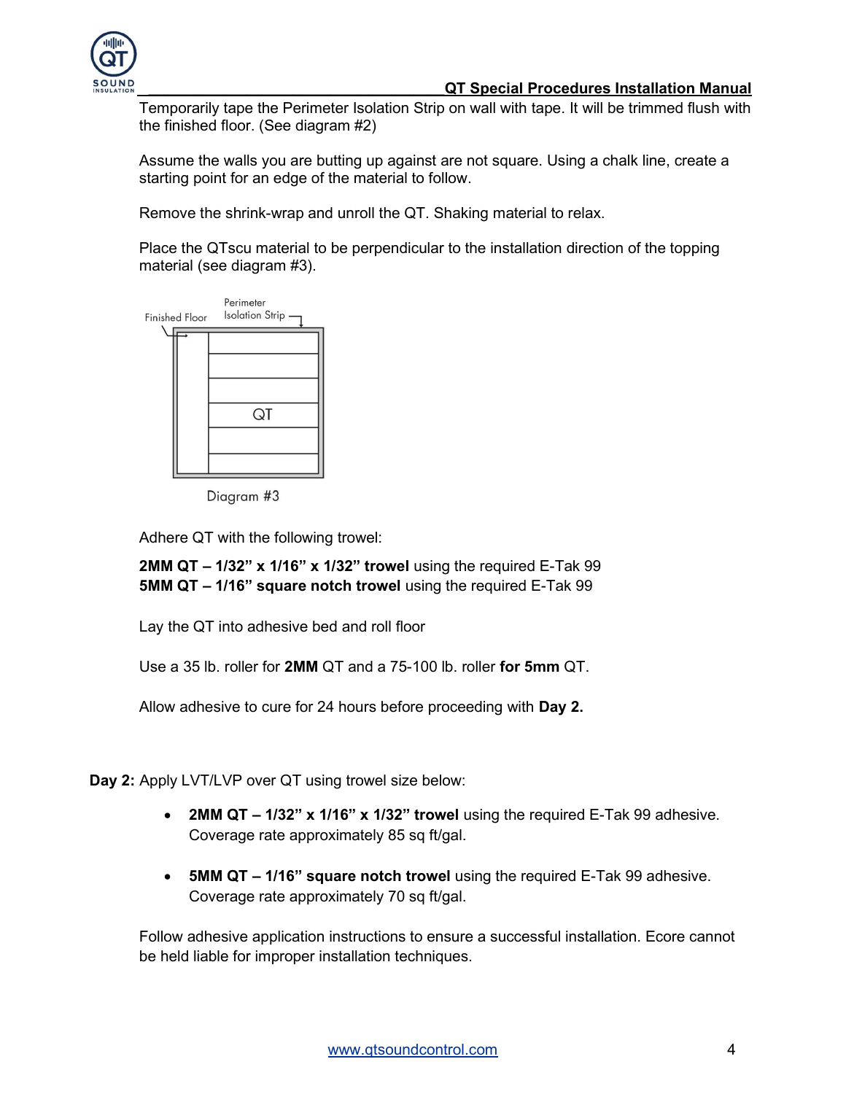

Temporarily tape the Perimeter Isolation Strip on wall with tape. It will be trimmed flush with the finished floor. (See diagram #2)

Assume the walls you are butting up against are not square. Using a chalk line, create a starting point for an edge of the material to follow.

Remove the shrink-wrap and unroll the QT. Shaking material to relax.

Place the QTscu material to be perpendicular to the installation direction of the topping material (see diagram #3).



Diagram #3

Adhere QT with the following trowel:

2MM QT – 1/32" x 1/16" x 1/32" trowel using the required E-Tak 99 5MM QT – 1/16" square notch trowel using the required E-Tak 99

Lay the QT into adhesive bed and roll floor

Use a 35 lb. roller for 2MM QT and a 75-100 lb. roller for 5mm QT.

Allow adhesive to cure for 24 hours before proceeding with Day 2.

Day 2: Apply LVT/LVP over QT using trowel size below:

- 2MM QT 1/32" x 1/16" x 1/32" trowel using the required E-Tak 99 adhesive. Coverage rate approximately 85 sq ft/gal.
- 5MM QT 1/16" square notch trowel using the required E-Tak 99 adhesive. Coverage rate approximately 70 sq ft/gal.

Follow adhesive application instructions to ensure a successful installation. Ecore cannot be held liable for improper installation techniques.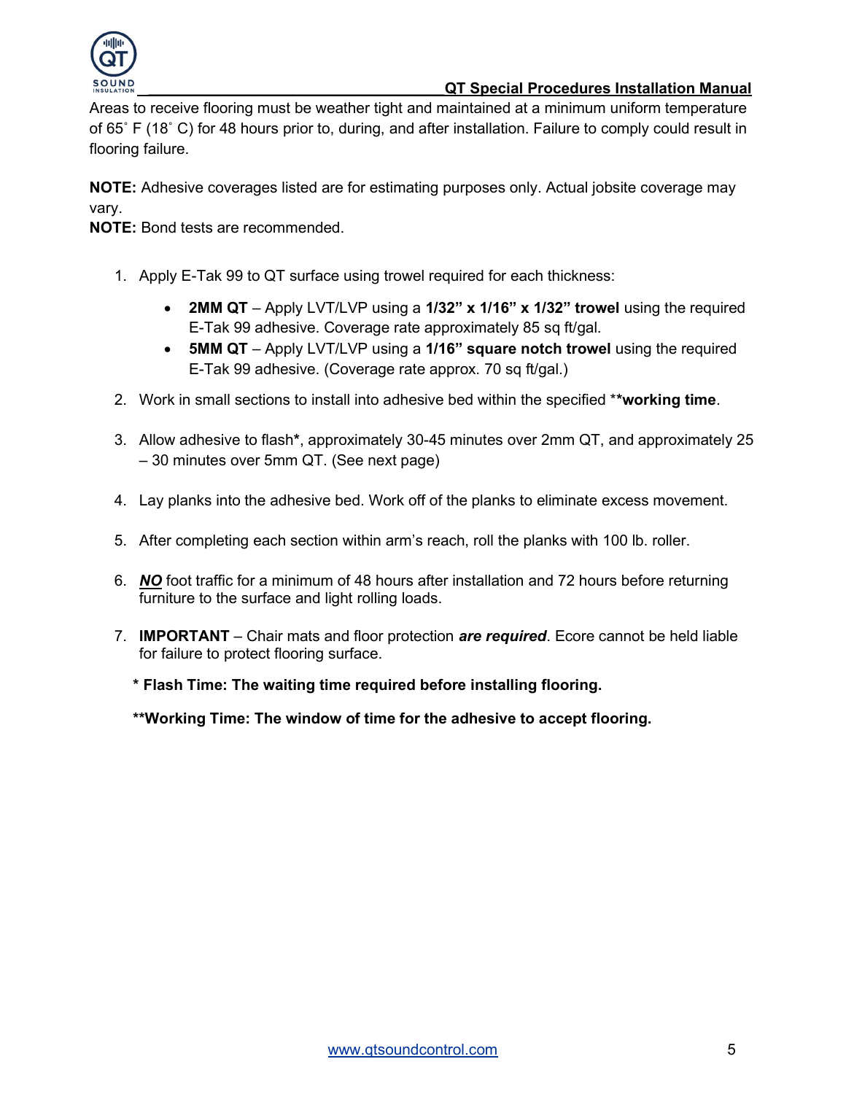

#### QT Special Procedures Installation Manual

Areas to receive flooring must be weather tight and maintained at a minimum uniform temperature of 65˚ F (18˚ C) for 48 hours prior to, during, and after installation. Failure to comply could result in flooring failure.

NOTE: Adhesive coverages listed are for estimating purposes only. Actual jobsite coverage may vary.

NOTE: Bond tests are recommended.

- 1. Apply E-Tak 99 to QT surface using trowel required for each thickness:
	- 2MM QT Apply LVT/LVP using a  $1/32$ " x  $1/16$ " x  $1/32$ " trowel using the required E-Tak 99 adhesive. Coverage rate approximately 85 sq ft/gal.
	- 5MM QT Apply LVT/LVP using a  $1/16$ " square notch trowel using the required E-Tak 99 adhesive. (Coverage rate approx. 70 sq ft/gal.)
- 2. Work in small sections to install into adhesive bed within the specified \*\*working time.
- 3. Allow adhesive to flash\*, approximately 30-45 minutes over 2mm QT, and approximately 25 – 30 minutes over 5mm QT. (See next page)
- 4. Lay planks into the adhesive bed. Work off of the planks to eliminate excess movement.
- 5. After completing each section within arm's reach, roll the planks with 100 lb. roller.
- 6. NO foot traffic for a minimum of 48 hours after installation and 72 hours before returning furniture to the surface and light rolling loads.
- 7. **IMPORTANT** Chair mats and floor protection are required. Ecore cannot be held liable for failure to protect flooring surface.

\* Flash Time: The waiting time required before installing flooring.

\*\*Working Time: The window of time for the adhesive to accept flooring.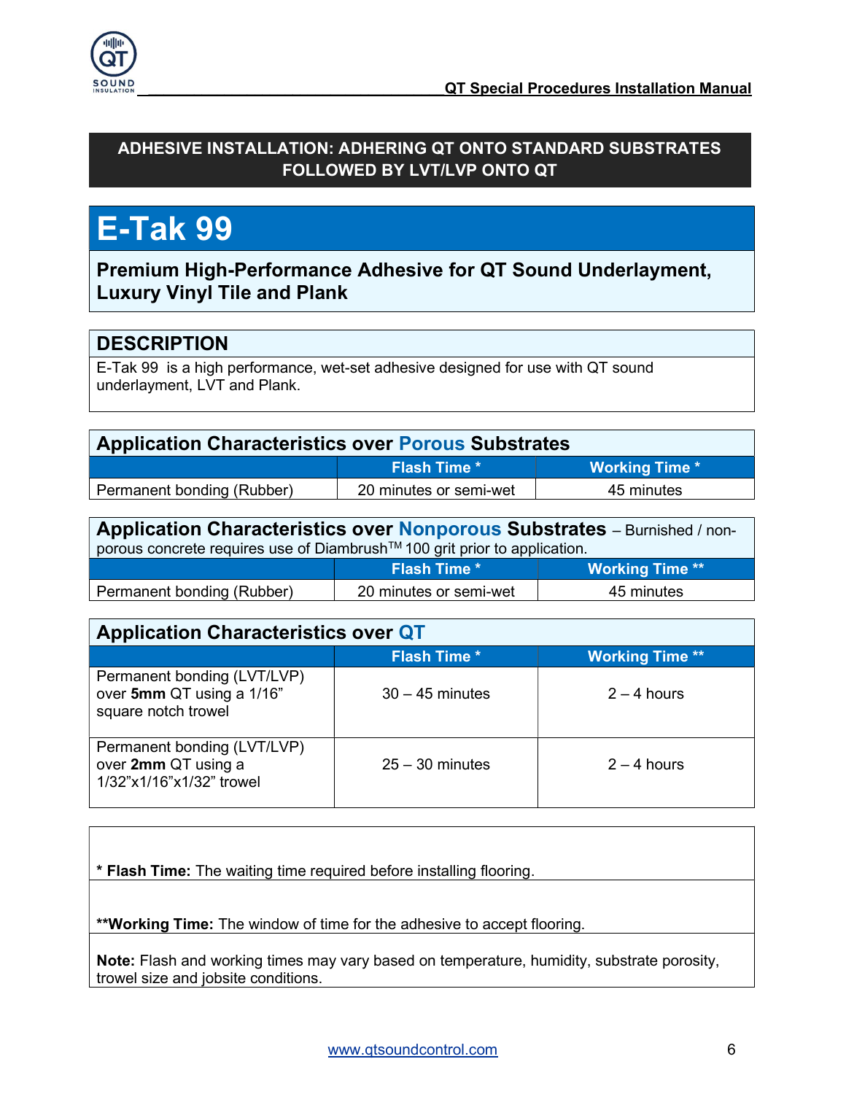

## ADHESIVE INSTALLATION: ADHERING QT ONTO STANDARD SUBSTRATES FOLLOWED BY LVT/LVP ONTO QT

## E-Tak 99

Premium High-Performance Adhesive for QT Sound Underlayment, Luxury Vinyl Tile and Plank

## **DESCRIPTION**

E-Tak 99 is a high performance, wet-set adhesive designed for use with QT sound underlayment, LVT and Plank.

| <b>Application Characteristics over Porous Substrates</b> |                       |  |
|-----------------------------------------------------------|-----------------------|--|
| <b>Flash Time *</b>                                       | <b>Working Time *</b> |  |
| 20 minutes or semi-wet                                    | 45 minutes            |  |
|                                                           |                       |  |

Application Characteristics over Nonporous Substrates – Burnished / non**porous concrete requires use of Diambrush™ 100 grit prior to application.** Flash Time \* Working Time \*\*

| Permanent bonding (Rubber) | 20 minutes or semi-wet | minutes |
|----------------------------|------------------------|---------|
|                            |                        |         |

| <b>Application Characteristics over QT</b>                                      |                     |                        |
|---------------------------------------------------------------------------------|---------------------|------------------------|
|                                                                                 | <b>Flash Time *</b> | <b>Working Time **</b> |
| Permanent bonding (LVT/LVP)<br>over 5mm QT using a 1/16"<br>square notch trowel | $30 - 45$ minutes   | $2 - 4$ hours          |
| Permanent bonding (LVT/LVP)<br>over 2mm QT using a<br>1/32"x1/16"x1/32" trowel  | $25 - 30$ minutes   | $2 - 4$ hours          |

\* Flash Time: The waiting time required before installing flooring.

\*\*Working Time: The window of time for the adhesive to accept flooring.

Note: Flash and working times may vary based on temperature, humidity, substrate porosity, trowel size and jobsite conditions.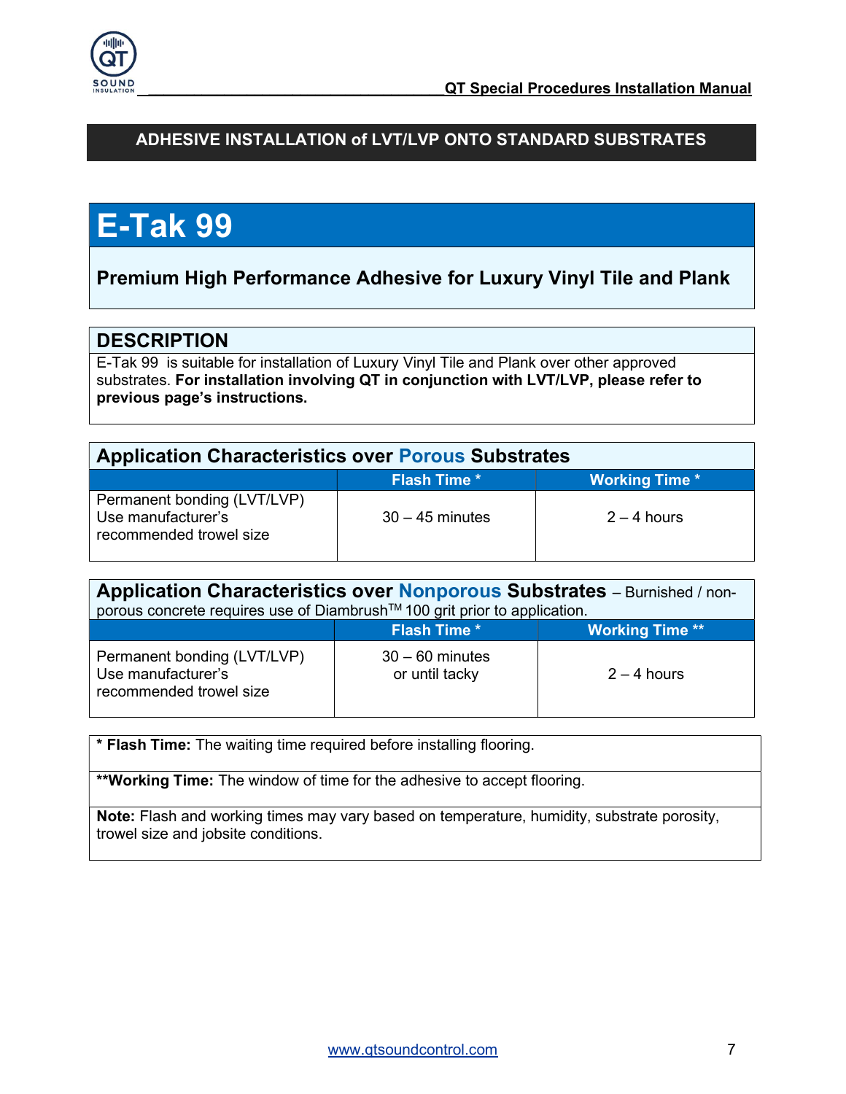

## ADHESIVE INSTALLATION of LVT/LVP ONTO STANDARD SUBSTRATES

## E-Tak 99

## Premium High Performance Adhesive for Luxury Vinyl Tile and Plank

## **DESCRIPTION**

E-Tak 99 is suitable for installation of Luxury Vinyl Tile and Plank over other approved substrates. For installation involving QT in conjunction with LVT/LVP, please refer to previous page's instructions.

| <b>Application Characteristics over Porous Substrates</b>                    |                     |                       |
|------------------------------------------------------------------------------|---------------------|-----------------------|
|                                                                              | <b>Flash Time *</b> | <b>Working Time *</b> |
| Permanent bonding (LVT/LVP)<br>Use manufacturer's<br>recommended trowel size | $30 - 45$ minutes   | $2 - 4$ hours         |

| Application Characteristics over Nonporous Substrates - Burnished / non-<br>porous concrete requires use of Diambrush™ 100 grit prior to application. |                                     |                        |
|-------------------------------------------------------------------------------------------------------------------------------------------------------|-------------------------------------|------------------------|
|                                                                                                                                                       | <b>Flash Time *</b>                 | <b>Working Time **</b> |
| Permanent bonding (LVT/LVP)<br>Use manufacturer's<br>recommended trowel size                                                                          | $30 - 60$ minutes<br>or until tacky | $2 - 4$ hours          |

\* Flash Time: The waiting time required before installing flooring.

\*\*Working Time: The window of time for the adhesive to accept flooring.

Note: Flash and working times may vary based on temperature, humidity, substrate porosity, trowel size and jobsite conditions.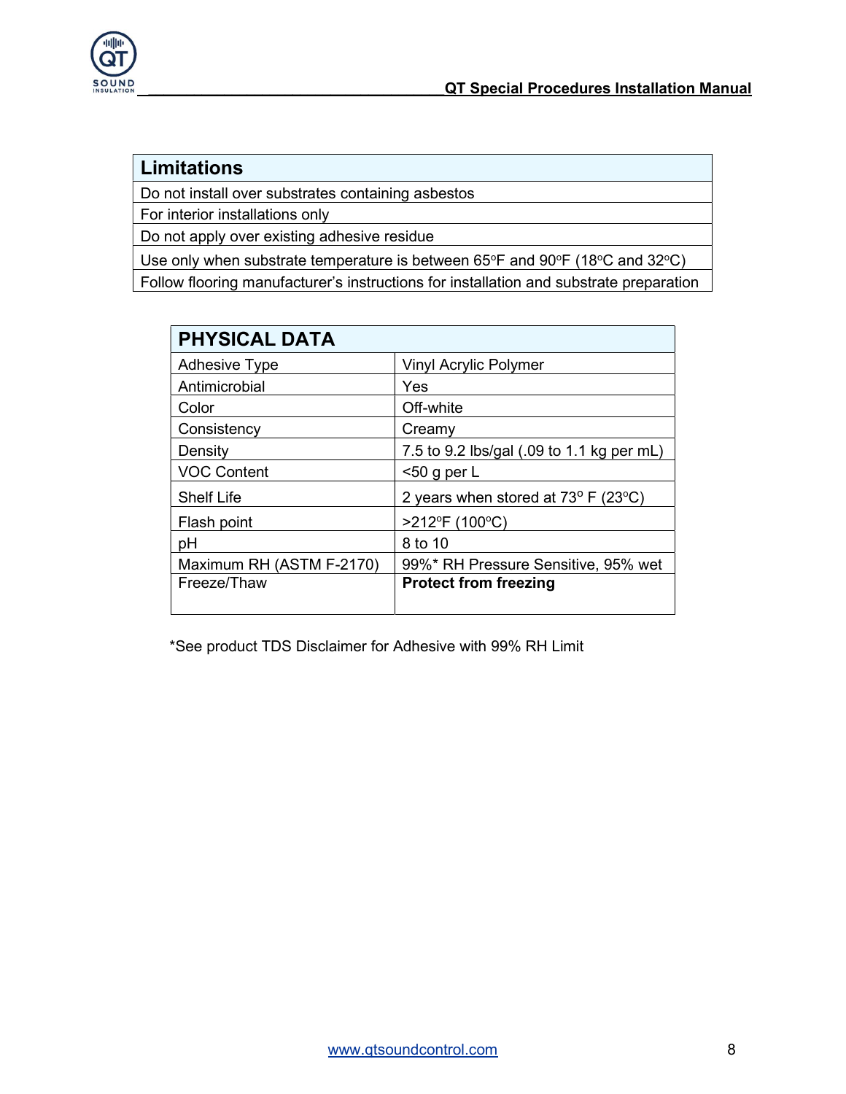

## Limitations

Do not install over substrates containing asbestos

For interior installations only

Do not apply over existing adhesive residue

Use only when substrate temperature is between  $65^{\circ}$ F and  $90^{\circ}$ F (18 $^{\circ}$ C and 32 $^{\circ}$ C) Follow flooring manufacturer's instructions for installation and substrate preparation

| <b>PHYSICAL DATA</b>     |                                                         |
|--------------------------|---------------------------------------------------------|
| <b>Adhesive Type</b>     | <b>Vinyl Acrylic Polymer</b>                            |
| Antimicrobial            | Yes                                                     |
| Color                    | Off-white                                               |
| Consistency              | Creamy                                                  |
| Density                  | 7.5 to 9.2 lbs/gal (.09 to 1.1 kg per mL)               |
| <b>VOC Content</b>       | $<$ 50 g per L                                          |
| <b>Shelf Life</b>        | 2 years when stored at $73^{\circ}$ F (23 $^{\circ}$ C) |
| Flash point              | >212°F (100°C)                                          |
| pH                       | 8 to 10                                                 |
| Maximum RH (ASTM F-2170) | 99%* RH Pressure Sensitive, 95% wet                     |
| Freeze/Thaw              | <b>Protect from freezing</b>                            |
|                          |                                                         |

\*See product TDS Disclaimer for Adhesive with 99% RH Limit